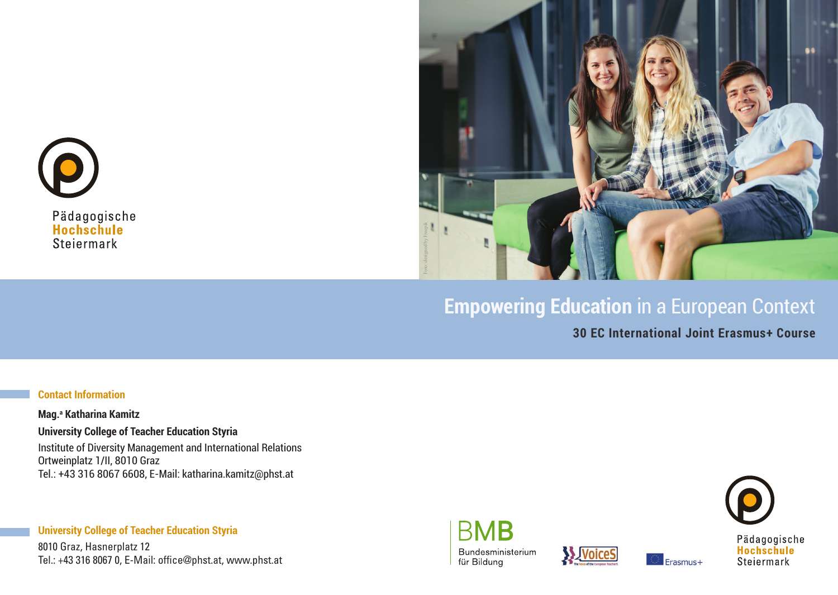



# **Empowering Education** in a European Context

**30 EC International Joint Erasmus+ Course**

#### **Contact Information**

**Mag.a Katharina Kamitz University College of Teacher Education Styria** Institute of Diversity Management and International Relations Ortweinplatz 1/II, 8010 Graz Tel.: +43 316 8067 6608, E-Mail: katharina.kamitz@phst.at

**University College of Teacher Education Styria** 8010 Graz, Hasnerplatz 12 Tel.: +43 316 8067 0, E-Mail: office@phst.at, www.phst.at





Erasmus+

Pädagogische<br>Hochschule Steiermark